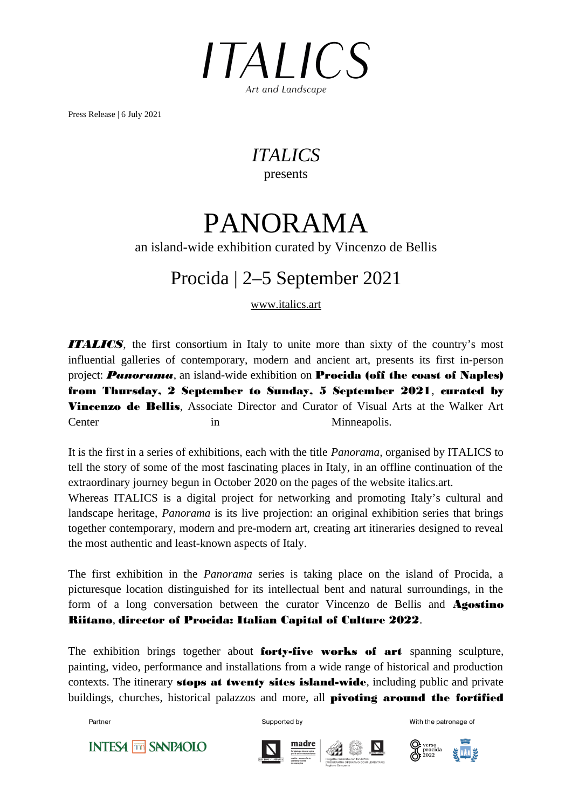

Press Release | 6 July 2021

### *ITALICS*  presents

# PANORAMA

### an island-wide exhibition curated by Vincenzo de Bellis

## Procida | 2–5 September 2021

www.italics.art

*ITALICS*, the first consortium in Italy to unite more than sixty of the country's most influential galleries of contemporary, modern and ancient art, presents its first in-person project: *Panorama*, an island-wide exhibition on Procida (off the coast of Naples) from Thursday, 2 September to Sunday, 5 September 2021, curated by **Vincenzo de Bellis.** Associate Director and Curator of Visual Arts at the Walker Art Center in Minneapolis.

It is the first in a series of exhibitions, each with the title *Panorama,* organised by ITALICS to tell the story of some of the most fascinating places in Italy, in an offline continuation of the extraordinary journey begun in October 2020 on the pages of the website italics.art.

Whereas ITALICS is a digital project for networking and promoting Italy's cultural and landscape heritage, *Panorama* is its live projection: an original exhibition series that brings together contemporary, modern and pre-modern art, creating art itineraries designed to reveal the most authentic and least-known aspects of Italy.

The first exhibition in the *Panorama* series is taking place on the island of Procida, a picturesque location distinguished for its intellectual bent and natural surroundings, in the form of a long conversation between the curator Vincenzo de Bellis and **Agostino** Riitano, director of Procida: Italian Capital of Culture 2022.

The exhibition brings together about forty-five works of art spanning sculpture, painting, video, performance and installations from a wide range of historical and production contexts. The itinerary **stops at twenty sites island-wide**, including public and private buildings, churches, historical palazzos and more, all **pivoting around the fortified** 

Partner

Supported by







With the patronage of

**INTESA MM SANPAOLO**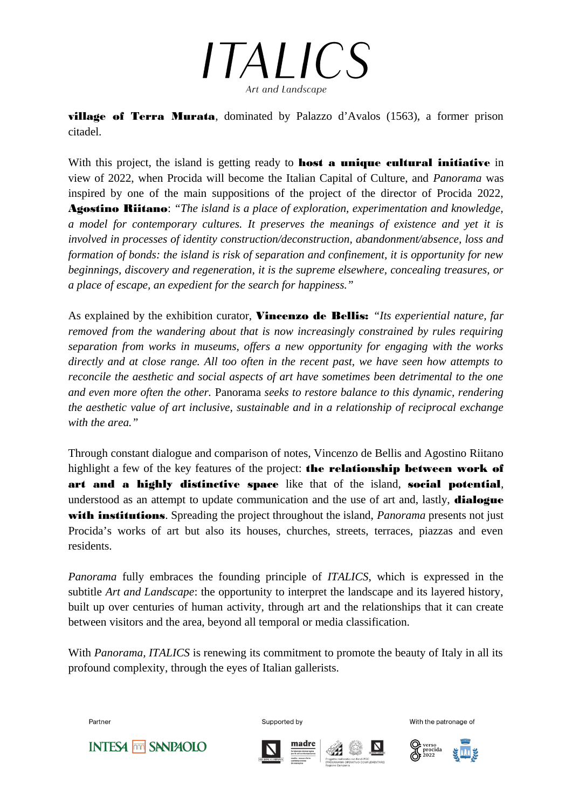

village of Terra Murata, dominated by Palazzo d'Avalos (1563), a former prison citadel.

With this project, the island is getting ready to **host a unique cultural initiative** in view of 2022, when Procida will become the Italian Capital of Culture, and *Panorama* was inspired by one of the main suppositions of the project of the director of Procida 2022, Agostino Riitano: *"The island is a place of exploration, experimentation and knowledge, a model for contemporary cultures. It preserves the meanings of existence and yet it is involved in processes of identity construction/deconstruction, abandonment/absence, loss and formation of bonds: the island is risk of separation and confinement, it is opportunity for new beginnings, discovery and regeneration, it is the supreme elsewhere, concealing treasures, or a place of escape, an expedient for the search for happiness."*

As explained by the exhibition curator, Vincenzo de Bellis: *"Its experiential nature, far removed from the wandering about that is now increasingly constrained by rules requiring separation from works in museums, offers a new opportunity for engaging with the works directly and at close range. All too often in the recent past, we have seen how attempts to reconcile the aesthetic and social aspects of art have sometimes been detrimental to the one and even more often the other.* Panorama *seeks to restore balance to this dynamic, rendering the aesthetic value of art inclusive, sustainable and in a relationship of reciprocal exchange with the area."*

Through constant dialogue and comparison of notes, Vincenzo de Bellis and Agostino Riitano highlight a few of the key features of the project: **the relationship between work of** art and a highly distinctive space like that of the island, social potential, understood as an attempt to update communication and the use of art and, lastly, **dialogue** with institutions. Spreading the project throughout the island, *Panorama* presents not just Procida's works of art but also its houses, churches, streets, terraces, piazzas and even residents.

*Panorama* fully embraces the founding principle of *ITALICS*, which is expressed in the subtitle *Art and Landscape*: the opportunity to interpret the landscape and its layered history, built up over centuries of human activity, through art and the relationships that it can create between visitors and the area, beyond all temporal or media classification.

With *Panorama, ITALICS* is renewing its commitment to promote the beauty of Italy in all its profound complexity, through the eyes of Italian gallerists.

Partner

Supported by





With the patronage of



**INTESA MM SANPAOLO**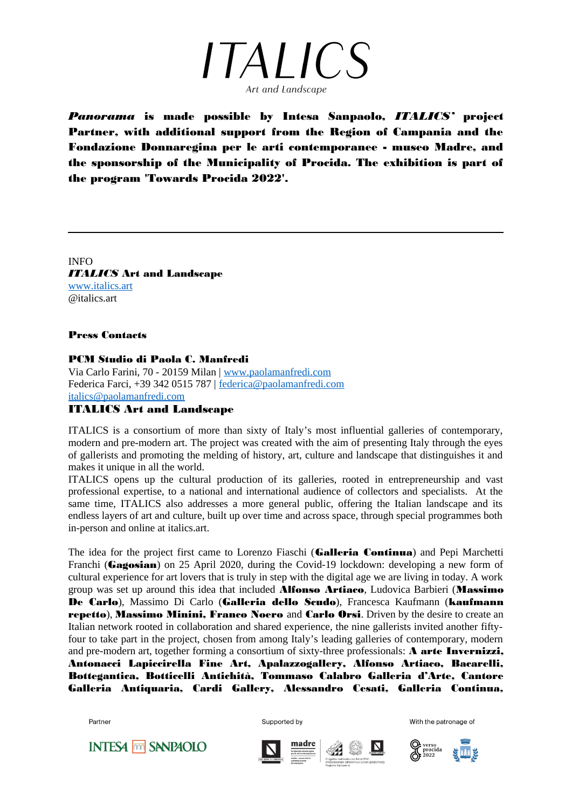

*Panorama* is made possible by Intesa Sanpaolo, *ITALICS'* project Partner, with additional support from the Region of Campania and the Fondazione Donnaregina per le arti contemporanee - museo Madre, and the sponsorship of the Municipality of Procida. The exhibition is part of the program 'Towards Procida 2022'.

INFO *ITALICS* Art and Landscape www.italics.art @italics.art

### Press Contacts

### PCM Studio di Paola C. Manfredi

Via Carlo Farini, 70 - 20159 Milan | www.paolamanfredi.com Federica Farci, +39 342 0515 787 | federica@paolamanfredi.com italics@paolamanfredi.com

### ITALICS Art and Landscape

ITALICS is a consortium of more than sixty of Italy's most influential galleries of contemporary, modern and pre-modern art. The project was created with the aim of presenting Italy through the eyes of gallerists and promoting the melding of history, art, culture and landscape that distinguishes it and makes it unique in all the world.

ITALICS opens up the cultural production of its galleries, rooted in entrepreneurship and vast professional expertise, to a national and international audience of collectors and specialists. At the same time, ITALICS also addresses a more general public, offering the Italian landscape and its endless layers of art and culture, built up over time and across space, through special programmes both in-person and online at italics.art.

The idea for the project first came to Lorenzo Fiaschi (Galleria Continua) and Pepi Marchetti Franchi (Gagosian) on 25 April 2020, during the Covid-19 lockdown: developing a new form of cultural experience for art lovers that is truly in step with the digital age we are living in today. A work group was set up around this idea that included **Alfonso Artiaco**, Ludovica Barbieri (Massimo De Carlo), Massimo Di Carlo (Gallería dello Scudo), Francesca Kaufmann (kaufmann repetto), Massimo Minini, Franco Noero and Carlo Orsi. Driven by the desire to create an Italian network rooted in collaboration and shared experience, the nine gallerists invited another fiftyfour to take part in the project, chosen from among Italy's leading galleries of contemporary, modern and pre-modern art, together forming a consortium of sixty-three professionals: A arte Invernizzi, Antonacci Lapiccirella Fine Art, Apalazzogallery, Alfonso Artiaco, Bacarelli, Bottegantica, Botticelli Antichità, Tommaso Calabro Galleria d'Arte, Cantore Galleria Antiquaria, Cardi Gallery, Alessandro Cesati, Galleria Continua,

Partner

**INTESA MM SANPAOLO** 



Supported by



P verso<br>procida<br>CF 2022

With the patronage of